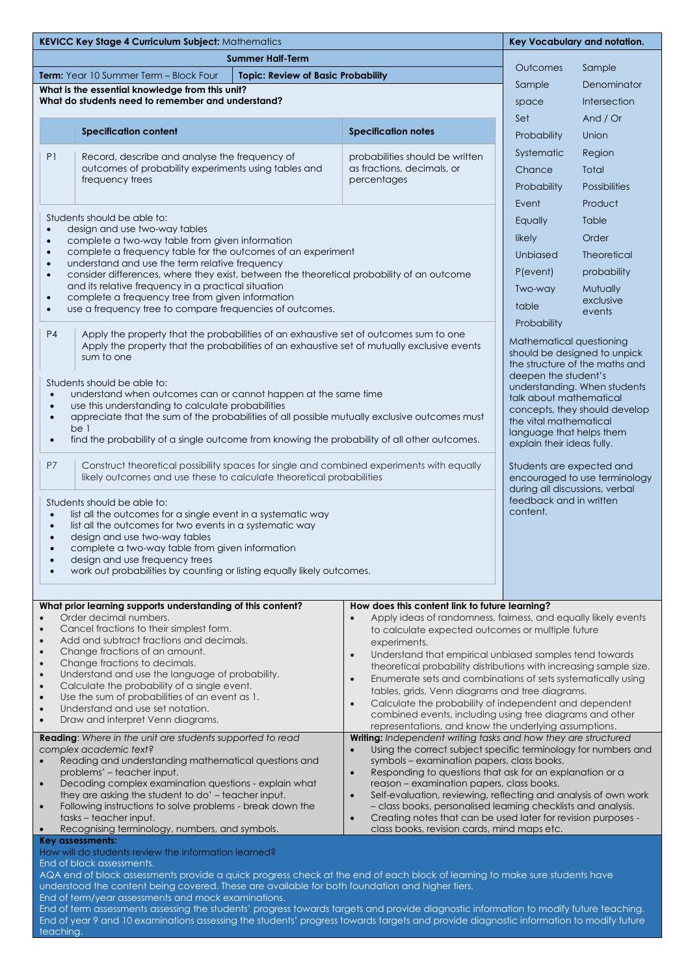| <b>KEVICC Key Stage 4 Curriculum Subject: Mathematics</b>                                                                                                                                                                                                                                                                                                                                                                                                                                                                                                                                                           |                                                                                                                                                                                                                                                                                                                                                                                                                                                                                                                                                                                                                            | Key Vocabulary and notation.                                                                                               |  |
|---------------------------------------------------------------------------------------------------------------------------------------------------------------------------------------------------------------------------------------------------------------------------------------------------------------------------------------------------------------------------------------------------------------------------------------------------------------------------------------------------------------------------------------------------------------------------------------------------------------------|----------------------------------------------------------------------------------------------------------------------------------------------------------------------------------------------------------------------------------------------------------------------------------------------------------------------------------------------------------------------------------------------------------------------------------------------------------------------------------------------------------------------------------------------------------------------------------------------------------------------------|----------------------------------------------------------------------------------------------------------------------------|--|
| <b>Summer Half-Term</b>                                                                                                                                                                                                                                                                                                                                                                                                                                                                                                                                                                                             |                                                                                                                                                                                                                                                                                                                                                                                                                                                                                                                                                                                                                            |                                                                                                                            |  |
| Term: Year 10 Summer Term - Block Four<br><b>Topic: Review of Basic Probability</b>                                                                                                                                                                                                                                                                                                                                                                                                                                                                                                                                 |                                                                                                                                                                                                                                                                                                                                                                                                                                                                                                                                                                                                                            | Outcomes<br>Sample                                                                                                         |  |
| What is the essential knowledge from this unit?                                                                                                                                                                                                                                                                                                                                                                                                                                                                                                                                                                     |                                                                                                                                                                                                                                                                                                                                                                                                                                                                                                                                                                                                                            | Denominator<br>Sample                                                                                                      |  |
| What do students need to remember and understand?                                                                                                                                                                                                                                                                                                                                                                                                                                                                                                                                                                   |                                                                                                                                                                                                                                                                                                                                                                                                                                                                                                                                                                                                                            | <b>Intersection</b><br>space                                                                                               |  |
| <b>Specification content</b>                                                                                                                                                                                                                                                                                                                                                                                                                                                                                                                                                                                        | <b>Specification notes</b>                                                                                                                                                                                                                                                                                                                                                                                                                                                                                                                                                                                                 | Set<br>And $/$ Or                                                                                                          |  |
|                                                                                                                                                                                                                                                                                                                                                                                                                                                                                                                                                                                                                     |                                                                                                                                                                                                                                                                                                                                                                                                                                                                                                                                                                                                                            | Union<br>Probability                                                                                                       |  |
| P1<br>Record, describe and analyse the frequency of                                                                                                                                                                                                                                                                                                                                                                                                                                                                                                                                                                 | probabilities should be written                                                                                                                                                                                                                                                                                                                                                                                                                                                                                                                                                                                            | Systematic<br>Region                                                                                                       |  |
| outcomes of probability experiments using tables and<br>frequency trees                                                                                                                                                                                                                                                                                                                                                                                                                                                                                                                                             | as fractions, decimals, or<br>percentages                                                                                                                                                                                                                                                                                                                                                                                                                                                                                                                                                                                  | Chance<br>Total                                                                                                            |  |
|                                                                                                                                                                                                                                                                                                                                                                                                                                                                                                                                                                                                                     |                                                                                                                                                                                                                                                                                                                                                                                                                                                                                                                                                                                                                            | <b>Possibilities</b><br>Probability                                                                                        |  |
|                                                                                                                                                                                                                                                                                                                                                                                                                                                                                                                                                                                                                     |                                                                                                                                                                                                                                                                                                                                                                                                                                                                                                                                                                                                                            | Event<br>Product                                                                                                           |  |
| Students should be able to:<br>design and use two-way tables<br>$\bullet$<br>complete a two-way table from given information<br>$\bullet$<br>complete a frequency table for the outcomes of an experiment<br>$\bullet$<br>understand and use the term relative frequency<br>$\bullet$<br>consider differences, where they exist, between the theoretical probability of an outcome<br>$\bullet$<br>and its relative frequency in a practical situation<br>complete a frequency tree from given information<br>$\bullet$<br>use a frequency tree to compare frequencies of outcomes.<br>$\bullet$                    |                                                                                                                                                                                                                                                                                                                                                                                                                                                                                                                                                                                                                            | Table<br>Equally                                                                                                           |  |
|                                                                                                                                                                                                                                                                                                                                                                                                                                                                                                                                                                                                                     |                                                                                                                                                                                                                                                                                                                                                                                                                                                                                                                                                                                                                            | likely<br>Order                                                                                                            |  |
|                                                                                                                                                                                                                                                                                                                                                                                                                                                                                                                                                                                                                     |                                                                                                                                                                                                                                                                                                                                                                                                                                                                                                                                                                                                                            | Unbiased<br><b>Theoretical</b>                                                                                             |  |
|                                                                                                                                                                                                                                                                                                                                                                                                                                                                                                                                                                                                                     |                                                                                                                                                                                                                                                                                                                                                                                                                                                                                                                                                                                                                            | P(event)<br>probability                                                                                                    |  |
|                                                                                                                                                                                                                                                                                                                                                                                                                                                                                                                                                                                                                     |                                                                                                                                                                                                                                                                                                                                                                                                                                                                                                                                                                                                                            | Two-way<br>Mutually                                                                                                        |  |
|                                                                                                                                                                                                                                                                                                                                                                                                                                                                                                                                                                                                                     |                                                                                                                                                                                                                                                                                                                                                                                                                                                                                                                                                                                                                            | exclusive<br>table                                                                                                         |  |
|                                                                                                                                                                                                                                                                                                                                                                                                                                                                                                                                                                                                                     |                                                                                                                                                                                                                                                                                                                                                                                                                                                                                                                                                                                                                            | events<br>Probability                                                                                                      |  |
| P <sub>4</sub><br>Apply the property that the probabilities of an exhaustive set of outcomes sum to one<br>Apply the property that the probabilities of an exhaustive set of mutually exclusive events<br>sum to one<br>deepen the student's<br>Students should be able to:<br>understand when outcomes can or cannot happen at the same time<br>$\bullet$<br>use this understanding to calculate probabilities<br>$\bullet$<br>appreciate that the sum of the probabilities of all possible mutually exclusive outcomes must<br>$\bullet$<br>the vital mathematical<br>be 1                                        |                                                                                                                                                                                                                                                                                                                                                                                                                                                                                                                                                                                                                            | Mathematical questioning<br>should be designed to unpick<br>the structure of the maths and<br>understanding. When students |  |
|                                                                                                                                                                                                                                                                                                                                                                                                                                                                                                                                                                                                                     |                                                                                                                                                                                                                                                                                                                                                                                                                                                                                                                                                                                                                            | talk about mathematical<br>concepts, they should develop<br>language that helps them                                       |  |
| find the probability of a single outcome from knowing the probability of all other outcomes.<br>$\bullet$<br>explain their ideas fully.                                                                                                                                                                                                                                                                                                                                                                                                                                                                             |                                                                                                                                                                                                                                                                                                                                                                                                                                                                                                                                                                                                                            |                                                                                                                            |  |
| P7<br>Construct theoretical possibility spaces for single and combined experiments with equally<br>likely outcomes and use these to calculate theoretical probabilities                                                                                                                                                                                                                                                                                                                                                                                                                                             |                                                                                                                                                                                                                                                                                                                                                                                                                                                                                                                                                                                                                            | Students are expected and<br>encouraged to use terminology<br>during all discussions, verbal                               |  |
| Students should be able to:<br>list all the outcomes for a single event in a systematic way<br>$\bullet$<br>list all the outcomes for two events in a systematic way<br>$\bullet$<br>design and use two-way tables<br>$\bullet$<br>complete a two-way table from given information<br>$\bullet$<br>design and use frequency trees<br>work out probabilities by counting or listing equally likely outcomes.                                                                                                                                                                                                         |                                                                                                                                                                                                                                                                                                                                                                                                                                                                                                                                                                                                                            | feedback and in written<br>content.                                                                                        |  |
| What prior learning supports understanding of this content?                                                                                                                                                                                                                                                                                                                                                                                                                                                                                                                                                         | How does this content link to future learning?                                                                                                                                                                                                                                                                                                                                                                                                                                                                                                                                                                             |                                                                                                                            |  |
| Order decimal numbers.<br>Cancel fractions to their simplest form.<br>$\bullet$<br>Add and subtract fractions and decimals.<br>$\bullet$<br>Change fractions of an amount.<br>$\bullet$<br>Change fractions to decimals.<br>$\bullet$<br>Understand and use the language of probability.<br>$\bullet$<br>Calculate the probability of a single event.<br>$\bullet$<br>Use the sum of probabilities of an event as 1.<br>$\bullet$<br>Understand and use set notation.<br>$\bullet$<br>Draw and interpret Venn diagrams.<br>$\bullet$                                                                                | Apply ideas of randomness, fairness, and equally likely events<br>$\bullet$<br>to calculate expected outcomes or multiple future<br>experiments.<br>Understand that empirical unbiased samples tend towards<br>$\bullet$<br>theoretical probability distributions with increasing sample size.<br>Enumerate sets and combinations of sets systematically using<br>$\bullet$<br>tables, grids, Venn diagrams and tree diagrams.<br>Calculate the probability of independent and dependent<br>$\bullet$<br>combined events, including using tree diagrams and other<br>representations, and know the underlying assumptions. |                                                                                                                            |  |
| Writing: Independent writing tasks and how they are structured<br><b>Reading:</b> Where in the unit are students supported to read                                                                                                                                                                                                                                                                                                                                                                                                                                                                                  |                                                                                                                                                                                                                                                                                                                                                                                                                                                                                                                                                                                                                            |                                                                                                                            |  |
| complex academic text?<br>Reading and understanding mathematical questions and<br>problems' – teacher input.<br>Decoding complex examination questions - explain what<br>$\bullet$<br>they are asking the student to do' - teacher input.<br>Following instructions to solve problems - break down the<br>tasks – teacher input.<br>Recognising terminology, numbers, and symbols.<br>$\bullet$                                                                                                                                                                                                                     | Using the correct subject specific terminology for numbers and<br>$\bullet$<br>symbols - examination papers, class books.<br>Responding to questions that ask for an explanation or a<br>$\bullet$<br>reason – examination papers, class books.<br>Self-evaluation, reviewing, reflecting and analysis of own work<br>$\bullet$<br>- class books, personalised learning checklists and analysis.<br>Creating notes that can be used later for revision purposes -<br>$\bullet$<br>class books, revision cards, mind maps etc.                                                                                              |                                                                                                                            |  |
| Key assessments:<br>How will do students review the information learned?                                                                                                                                                                                                                                                                                                                                                                                                                                                                                                                                            |                                                                                                                                                                                                                                                                                                                                                                                                                                                                                                                                                                                                                            |                                                                                                                            |  |
| End of block assessments.<br>AQA end of block assessments provide a quick progress check at the end of each block of learning to make sure students have<br>understood the content being covered. These are available for both foundation and higher tiers.<br>End of term/year assessments and mock examinations.<br>End of term assessments assessing the students' progress towards targets and provide diagnostic information to modify future teaching.<br>End of year 9 and 10 examinations assessing the students' progress towards targets and provide diagnostic information to modify future<br>teaching. |                                                                                                                                                                                                                                                                                                                                                                                                                                                                                                                                                                                                                            |                                                                                                                            |  |